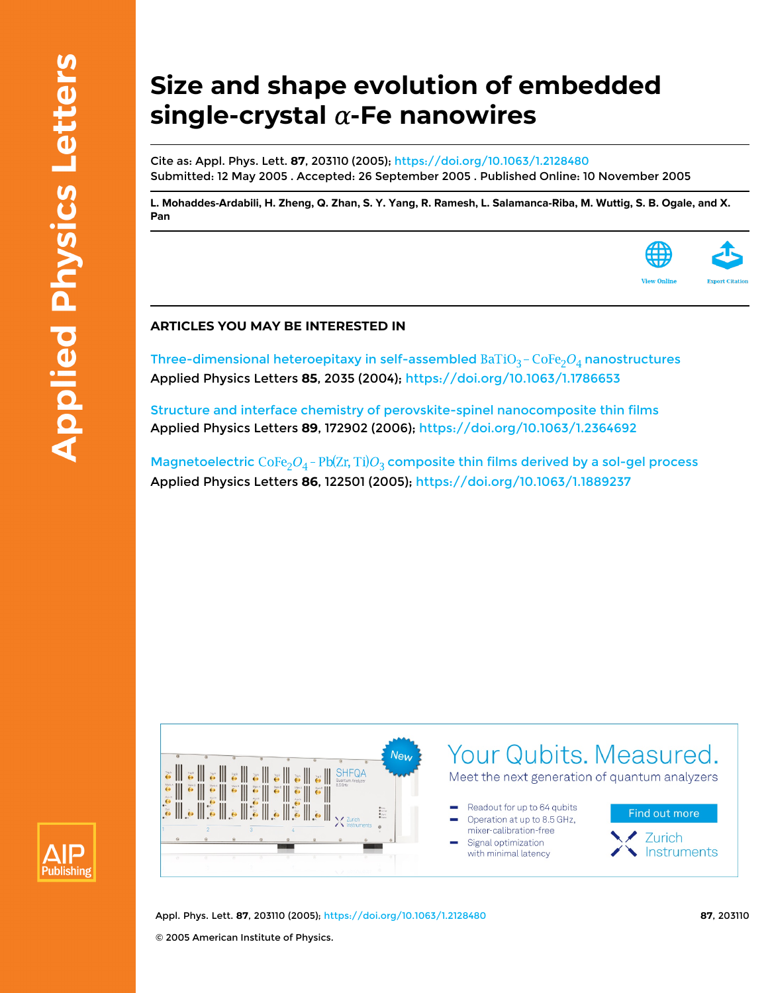## **Size and shape evolution of embedded**  $single-crystal$   $\alpha$ -Fe nanowires

Cite as: Appl. Phys. Lett. **87**, 203110 (2005); <https://doi.org/10.1063/1.2128480> Submitted: 12 May 2005 . Accepted: 26 September 2005 . Published Online: 10 November 2005

[L. Mohaddes-Ardabili](https://aip.scitation.org/author/Mohaddes-Ardabili%2C+L), [H. Zheng](https://aip.scitation.org/author/Zheng%2C+H), [Q. Zhan,](https://aip.scitation.org/author/Zhan%2C+Q) [S. Y. Yang](https://aip.scitation.org/author/Yang%2C+S+Y), [R. Ramesh](https://aip.scitation.org/author/Ramesh%2C+R), [L. Salamanca-Riba](https://aip.scitation.org/author/Salamanca-Riba%2C+L), [M. Wuttig,](https://aip.scitation.org/author/Wuttig%2C+M) [S. B. Ogale](https://aip.scitation.org/author/Ogale%2C+S+B), and [X.](https://aip.scitation.org/author/Pan%2C+X) **[Pan](https://aip.scitation.org/author/Pan%2C+X)**



Three-dimensional heteroepitaxy in self-assembled  $BaTiO_3$ - $CoFe_2O_4$  nanostructures Applied Physics Letters **85**, 2035 (2004);<https://doi.org/10.1063/1.1786653>

[Structure and interface chemistry of perovskite-spinel nanocomposite thin films](https://aip.scitation.org/doi/10.1063/1.2364692) Applied Physics Letters **89**, 172902 (2006);<https://doi.org/10.1063/1.2364692>

Magnetoelectric  $\text{CoFe}_2O_4$  -  $\text{Pb(Zr, Ti)}O_3$  composite thin films derived by a sol-gel process Applied Physics Letters **86**, 122501 (2005); <https://doi.org/10.1063/1.1889237>





Appl. Phys. Lett. **87**, 203110 (2005);<https://doi.org/10.1063/1.2128480> **87**, 203110 © 2005 American Institute of Physics.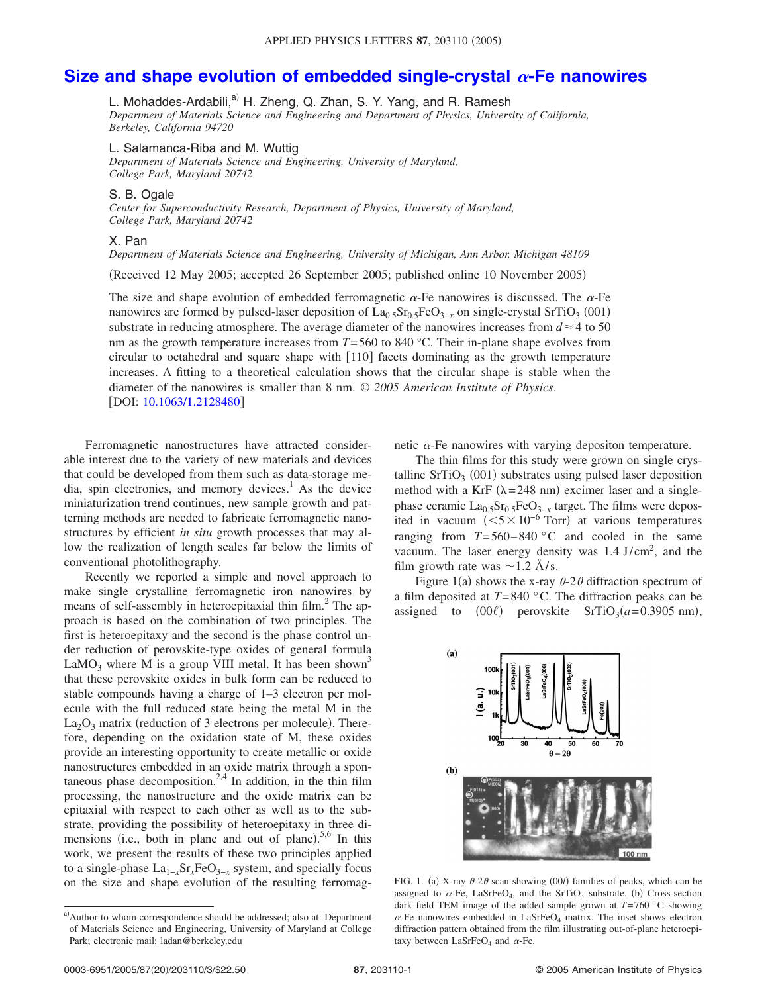## [Size and shape evolution of embedded single-crystal](http://dx.doi.org/10.1063/1.2128480)  $\alpha$ -Fe nanowires

L. Mohaddes-Ardabili,<sup>a)</sup> H. Zheng, Q. Zhan, S. Y. Yang, and R. Ramesh *Department of Materials Science and Engineering and Department of Physics, University of California, Berkeley, California 94720*

L. Salamanca-Riba and M. Wuttig

*Department of Materials Science and Engineering, University of Maryland, College Park, Maryland 20742*

## S. B. Ogale

*Center for Superconductivity Research, Department of Physics, University of Maryland, College Park, Maryland 20742*

## X. Pan

*Department of Materials Science and Engineering, University of Michigan, Ann Arbor, Michigan 48109*

Received 12 May 2005; accepted 26 September 2005; published online 10 November 2005-

The size and shape evolution of embedded ferromagnetic  $\alpha$ -Fe nanowires is discussed. The  $\alpha$ -Fe nanowires are formed by pulsed-laser deposition of La<sub>0.5</sub>Sr<sub>0.5</sub>FeO<sub>3−*x*</sub> on single-crystal SrTiO<sub>3</sub> (001) substrate in reducing atmosphere. The average diameter of the nanowires increases from  $d \approx 4$  to 50 nm as the growth temperature increases from  $T = 560$  to 840 °C. Their in-plane shape evolves from circular to octahedral and square shape with  $[110]$  facets dominating as the growth temperature increases. A fitting to a theoretical calculation shows that the circular shape is stable when the diameter of the nanowires is smaller than 8 nm. © *2005 American Institute of Physics*. [DOI: [10.1063/1.2128480](http://dx.doi.org/10.1063/1.2128480)]

Ferromagnetic nanostructures have attracted considerable interest due to the variety of new materials and devices that could be developed from them such as data-storage media, spin electronics, and memory devices.<sup>1</sup> As the device miniaturization trend continues, new sample growth and patterning methods are needed to fabricate ferromagnetic nanostructures by efficient *in situ* growth processes that may allow the realization of length scales far below the limits of conventional photolithography.

Recently we reported a simple and novel approach to make single crystalline ferromagnetic iron nanowires by means of self-assembly in heteroepitaxial thin  $film<sup>2</sup>$ . The approach is based on the combination of two principles. The first is heteroepitaxy and the second is the phase control under reduction of perovskite-type oxides of general formula LaMO<sub>3</sub> where M is a group VIII metal. It has been shown<sup>3</sup> that these perovskite oxides in bulk form can be reduced to stable compounds having a charge of 1–3 electron per molecule with the full reduced state being the metal M in the  $La<sub>2</sub>O<sub>3</sub>$  matrix (reduction of 3 electrons per molecule). Therefore, depending on the oxidation state of M, these oxides provide an interesting opportunity to create metallic or oxide nanostructures embedded in an oxide matrix through a spontaneous phase decomposition.<sup>2,4</sup> In addition, in the thin film processing, the nanostructure and the oxide matrix can be epitaxial with respect to each other as well as to the substrate, providing the possibility of heteroepitaxy in three dimensions (i.e., both in plane and out of plane).<sup>5,6</sup> In this work, we present the results of these two principles applied to a single-phase  $La_{1-r}Sr_rFeO_{3-r}$  system, and specially focus on the size and shape evolution of the resulting ferromagnetic  $\alpha$ -Fe nanowires with varying depositon temperature.

The thin films for this study were grown on single crystalline  $SrTiO<sub>3</sub>$  (001) substrates using pulsed laser deposition method with a KrF  $(\lambda = 248 \text{ nm})$  excimer laser and a singlephase ceramic  $La<sub>0.5</sub>Sr<sub>0.5</sub>FeO<sub>3-x</sub>$  target. The films were deposited in vacuum  $(<5\times10^{-6}$  Torr) at various temperatures ranging from  $T=560-840$  °C and cooled in the same vacuum. The laser energy density was  $1.4$  J/cm<sup>2</sup>, and the film growth rate was  $\sim$ 1.2 Å/s.

Figure 1(a) shows the x-ray  $\theta$ -2 $\theta$  diffraction spectrum of a film deposited at *T*=840 °C. The diffraction peaks can be assigned to  $(00\ell)$  perovskite SrTiO<sub>3</sub> $(a=0.3905 \text{ nm})$ ,



FIG. 1. (a) X-ray  $\theta$ -2 $\theta$  scan showing (00*l*) families of peaks, which can be assigned to  $\alpha$ -Fe, LaSrFeO<sub>4</sub>, and the SrTiO<sub>3</sub> substrate. (b) Cross-section dark field TEM image of the added sample grown at *T*=760 °C showing  $\alpha$ -Fe nanowires embedded in LaSrFeO<sub>4</sub> matrix. The inset shows electron diffraction pattern obtained from the film illustrating out-of-plane heteroepitaxy between LaSrFeO<sub>4</sub> and  $\alpha$ -Fe.

a) Author to whom correspondence should be addressed; also at: Department of Materials Science and Engineering, University of Maryland at College Park; electronic mail: ladan@berkeley.edu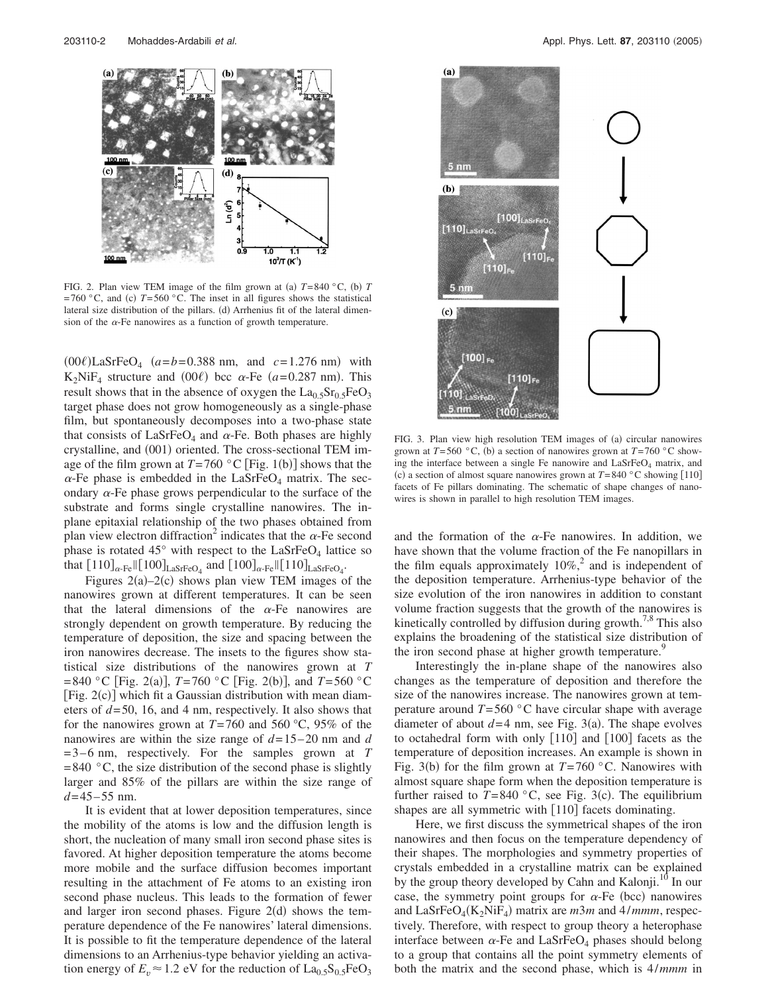

FIG. 2. Plan view TEM image of the film grown at (a)  $T=840$  °C, (b) T  $=760$  °C, and (c)  $T=560$  °C. The inset in all figures shows the statistical lateral size distribution of the pillars. (d) Arrhenius fit of the lateral dimension of the  $\alpha$ -Fe nanowires as a function of growth temperature.

 $(00\ell)$ LaSrFeO<sub>4</sub>  $(a=b=0.388$  nm, and  $c=1.276$  nm) with  $K_2$ NiF<sub>4</sub> structure and (00 $\ell$ ) bcc  $\alpha$ -Fe ( $a$ =0.287 nm). This result shows that in the absence of oxygen the  $La_{0.5}Sr_{0.5}FeO<sub>3</sub>$ target phase does not grow homogeneously as a single-phase film, but spontaneously decomposes into a two-phase state that consists of LaSrFeO<sub>4</sub> and  $\alpha$ -Fe. Both phases are highly crystalline, and (001) oriented. The cross-sectional TEM image of the film grown at  $T=760$  °C [Fig. 1(b)] shows that the  $\alpha$ -Fe phase is embedded in the LaSrFeO<sub>4</sub> matrix. The secondary  $\alpha$ -Fe phase grows perpendicular to the surface of the substrate and forms single crystalline nanowires. The inplane epitaxial relationship of the two phases obtained from plan view electron diffraction<sup>2</sup> indicates that the  $\alpha$ -Fe second phase is rotated  $45^{\circ}$  with respect to the LaSrFeO<sub>4</sub> lattice so that  $[110]_{\alpha \text{-Fe}} || [100]_{\text{LaSrFeO}_4}$  and  $[100]_{\alpha \text{-Fe}} || [110]_{\text{LaSrFeO}_4}$ .

Figures  $2(a) - 2(c)$  shows plan view TEM images of the nanowires grown at different temperatures. It can be seen that the lateral dimensions of the  $\alpha$ -Fe nanowires are strongly dependent on growth temperature. By reducing the temperature of deposition, the size and spacing between the iron nanowires decrease. The insets to the figures show statistical size distributions of the nanowires grown at *T*  $=840$  °C [Fig. 2(a)], *T*=760 °C [Fig. 2(b)], and *T*=560 °C [Fig. 2(c)] which fit a Gaussian distribution with mean diameters of *d*=50, 16, and 4 nm, respectively. It also shows that for the nanowires grown at  $T=760$  and 560 °C, 95% of the nanowires are within the size range of *d*=15–20 nm and *d* =3–6 nm, respectively. For the samples grown at *T*  $=840$  °C, the size distribution of the second phase is slightly larger and 85% of the pillars are within the size range of *d*=45–55 nm.

It is evident that at lower deposition temperatures, since the mobility of the atoms is low and the diffusion length is short, the nucleation of many small iron second phase sites is favored. At higher deposition temperature the atoms become more mobile and the surface diffusion becomes important resulting in the attachment of Fe atoms to an existing iron second phase nucleus. This leads to the formation of fewer and larger iron second phases. Figure  $2(d)$  shows the temperature dependence of the Fe nanowires' lateral dimensions. It is possible to fit the temperature dependence of the lateral dimensions to an Arrhenius-type behavior yielding an activation energy of  $E_v \approx 1.2$  eV for the reduction of  $La_{0.5}S_{0.5}FeO_3$ 



FIG. 3. Plan view high resolution TEM images of (a) circular nanowires grown at  $T=560$  °C, (b) a section of nanowires grown at  $T=760$  °C showing the interface between a single Fe nanowire and  $LaSrFeO<sub>4</sub>$  matrix, and (c) a section of almost square nanowires grown at  $T=840$  °C showing [110] facets of Fe pillars dominating. The schematic of shape changes of nanowires is shown in parallel to high resolution TEM images.

and the formation of the  $\alpha$ -Fe nanowires. In addition, we have shown that the volume fraction of the Fe nanopillars in the film equals approximately  $10\%$ ,<sup>2</sup> and is independent of the deposition temperature. Arrhenius-type behavior of the size evolution of the iron nanowires in addition to constant volume fraction suggests that the growth of the nanowires is kinetically controlled by diffusion during growth.<sup>7,8</sup> This also explains the broadening of the statistical size distribution of the iron second phase at higher growth temperature.<sup>9</sup>

Interestingly the in-plane shape of the nanowires also changes as the temperature of deposition and therefore the size of the nanowires increase. The nanowires grown at temperature around  $T=560$  °C have circular shape with average diameter of about  $d=4$  nm, see Fig. 3(a). The shape evolves to octahedral form with only  $[110]$  and  $[100]$  facets as the temperature of deposition increases. An example is shown in Fig. 3(b) for the film grown at  $T=760$  °C. Nanowires with almost square shape form when the deposition temperature is further raised to  $T=840$  °C, see Fig. 3(c). The equilibrium shapes are all symmetric with  $|110|$  facets dominating.

Here, we first discuss the symmetrical shapes of the iron nanowires and then focus on the temperature dependency of their shapes. The morphologies and symmetry properties of crystals embedded in a crystalline matrix can be explained by the group theory developed by Cahn and Kalonji.<sup>10</sup> In our case, the symmetry point groups for  $\alpha$ -Fe (bcc) nanowires and LaSrFeO<sub>4</sub>(K<sub>2</sub>NiF<sub>4</sub>) matrix are *m3m* and 4/*mmm*, respectively. Therefore, with respect to group theory a heterophase interface between  $\alpha$ -Fe and LaSrFeO<sub>4</sub> phases should belong to a group that contains all the point symmetry elements of both the matrix and the second phase, which is 4/*mmm* in